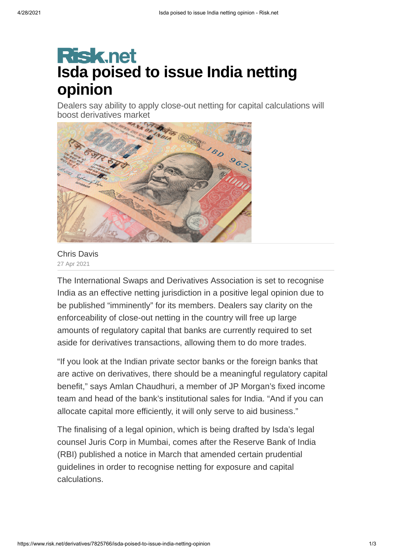## **Risk.net Isda poised to issue India netting opinion**

Dealers say ability to apply close-out netting for capital calculations will boost derivatives market



Chris [Davis](https://www.risk.net/author/chris-davis) 27 Apr 2021

The International Swaps and Derivatives Association is set to recognise India as an effective netting jurisdiction in a positive legal opinion due to be published "imminently" for its members. Dealers say clarity on the enforceability of close-out netting in the country will free up large amounts of regulatory capital that banks are currently required to set aside for derivatives transactions, allowing them to do more trades.

"If you look at the Indian private sector banks or the foreign banks that are active on derivatives, there should be a meaningful regulatory capital benefit," says Amlan Chaudhuri, a member of JP Morgan's fixed income team and head of the bank's institutional sales for India. "And if you can allocate capital more efficiently, it will only serve to aid business."

The finalising of a legal opinion, which is being drafted by Isda's legal counsel Juris Corp in Mumbai, comes after the Reserve Bank of India (RBI) published a notice in March that amended certain prudential guidelines in order to recognise netting for exposure and capital calculations.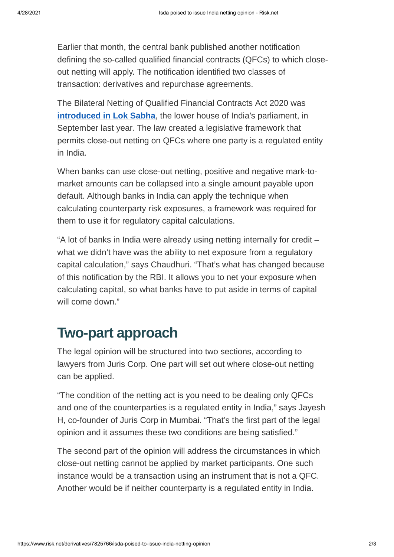Earlier that month, the central bank published another notification defining the so-called qualified financial contracts (QFCs) to which closeout netting will apply. The notification identified two classes of transaction: derivatives and repurchase agreements.

The Bilateral Netting of Qualified Financial Contracts Act 2020 was **introduced in Lok Sabha**, the lower house of India's parliament, in September last year. The law created a legislative framework that permits close-out netting on QFCs where one party is a regulated entity in India.

When banks can use close-out netting, positive and negative mark-tomarket amounts can be collapsed into a single amount payable upon default. Although banks in India can apply the technique when calculating counterparty risk exposures, a framework was required for them to use it for regulatory capital calculations.

"A lot of banks in India were already using netting internally for credit – what we didn't have was the ability to net exposure from a regulatory capital calculation," says Chaudhuri. "That's what has changed because of this notification by the RBI. It allows you to net your exposure when calculating capital, so what banks have to put aside in terms of capital will come down."

## **Two-part approach**

The legal opinion will be structured into two sections, according to lawyers from Juris Corp. One part will set out where close-out netting can be applied.

"The condition of the netting act is you need to be dealing only QFCs and one of the counterparties is a regulated entity in India," says Jayesh H, co-founder of Juris Corp in Mumbai. "That's the first part of the legal opinion and it assumes these two conditions are being satisfied."

The second part of the opinion will address the circumstances in which close-out netting cannot be applied by market participants. One such instance would be a transaction using an instrument that is not a QFC. Another would be if neither counterparty is a regulated entity in India.